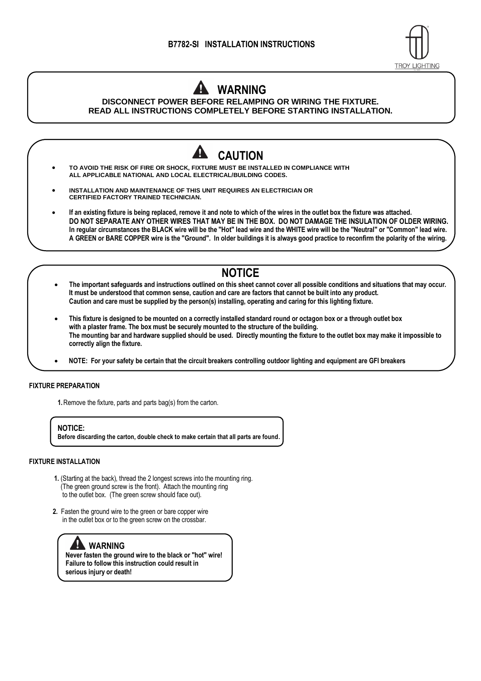

## **WARNING DISCONNECT POWER BEFORE RELAMPING OR WIRING THE FIXTURE.**

**READ ALL INSTRUCTIONS COMPLETELY BEFORE STARTING INSTALLATION.**

## **CAUTION** • **TO AVOID THE RISK OF FIRE OR SHOCK, FIXTURE MUST BE INSTALLED IN COMPLIANCE WITH ALL APPLICABLE NATIONAL AND LOCAL ELECTRICAL/BUILDING CODES.** • **INSTALLATION AND MAINTENANCE OF THIS UNIT REQUIRES AN ELECTRICIAN OR CERTIFIED FACTORY TRAINED TECHNICIAN.** • **If an existing fixture is being replaced, remove it and note to which of the wires in the outlet box the fixture was attached. DO NOT SEPARATE ANY OTHER WIRES THAT MAY BE IN THE BOX. DO NOT DAMAGE THE INSULATION OF OLDER WIRING. In regular circumstances the BLACK wire will be the "Hot" lead wire and the WHITE wire will be the "Neutral" or "Common" lead wire. A GREEN or BARE COPPER wire is the "Ground". In older buildings it is always good practice to reconfirm the polarity of the wiring.**

# **NOTICE**

- **The important safeguards and instructions outlined on this sheet cannot cover all possible conditions and situations that may occur. It must be understood that common sense, caution and care are factors that cannot be built into any product. Caution and care must be supplied by the person(s) installing, operating and caring for this lighting fixture.**
- • **This fixture is designed to be mounted on a correctly installed standard round or octagon box or a through outlet box with a plaster frame. The box must be securely mounted to the structure of the building. The mounting bar and hardware supplied should be used. Directly mounting the fixture to the outlet box may make it impossible to correctly align the fixture.**
- • **NOTE: For your safety be certain that the circuit breakers controlling outdoor lighting and equipment are GFI breakers**

### **FIXTURE PREPARATION**

**1.**Remove the fixture, parts and parts bag(s) from the carton.

**NOTICE: Before discarding the carton, double check to make certain that all parts are found.**

#### **FIXTURE INSTALLATION**

- **1.** (Starting at the back), thread the 2 longest screws into the mounting ring. (The green ground screw is the front). Attach the mounting ring to the outlet box. (The green screw should face out).
- **2.** Fasten the ground wire to the green or bare copper wire in the outlet box or to the green screw on the crossbar.

### **WARNING**

**Never fasten the ground wire to the black or "hot" wire! Failure to follow this instruction could result in serious injury or death!**